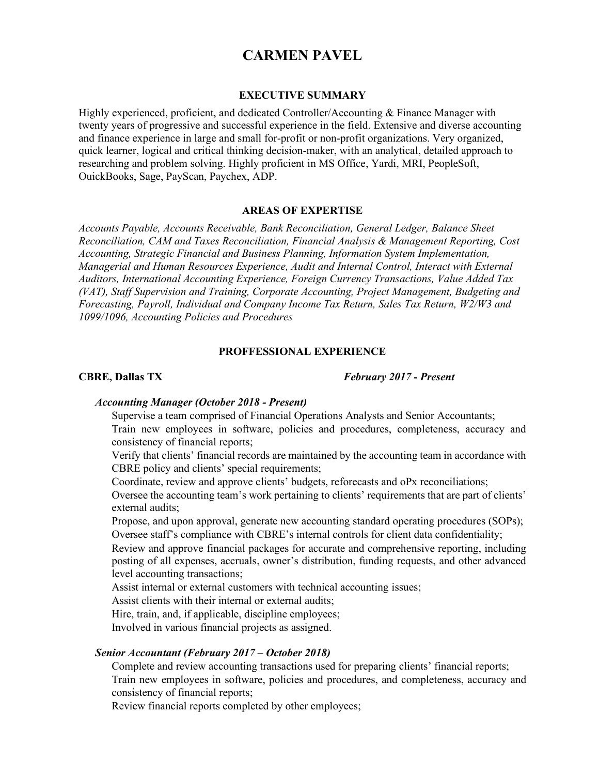# **CARMEN PAVEL**

#### **EXECUTIVE SUMMARY**

Highly experienced, proficient, and dedicated Controller/Accounting & Finance Manager with twenty years of progressive and successful experience in the field. Extensive and diverse accounting and finance experience in large and small for-profit or non-profit organizations. Very organized, quick learner, logical and critical thinking decision-maker, with an analytical, detailed approach to researching and problem solving. Highly proficient in MS Office, Yardi, MRI, PeopleSoft, OuickBooks, Sage, PayScan, Paychex, ADP.

## **AREAS OF EXPERTISE**

*Accounts Payable, Accounts Receivable, Bank Reconciliation, General Ledger, Balance Sheet Reconciliation, CAM and Taxes Reconciliation, Financial Analysis & Management Reporting, Cost Accounting, Strategic Financial and Business Planning, Information System Implementation, Managerial and Human Resources Experience, Audit and Internal Control, Interact with External Auditors, International Accounting Experience, Foreign Currency Transactions, Value Added Tax (VAT), Staff Supervision and Training, Corporate Accounting, Project Management, Budgeting and Forecasting, Payroll, Individual and Company Income Tax Return, Sales Tax Return, W2/W3 and 1099/1096, Accounting Policies and Procedures* 

#### **PROFFESSIONAL EXPERIENCE**

## **CBRE, Dallas TX** *February 2017 - Present*

#### *Accounting Manager (October 2018 - Present)*

Supervise a team comprised of Financial Operations Analysts and Senior Accountants;

 Train new employees in software, policies and procedures, completeness, accuracy and consistency of financial reports;

 Verify that clients' financial records are maintained by the accounting team in accordance with CBRE policy and clients' special requirements;

Coordinate, review and approve clients' budgets, reforecasts and oPx reconciliations;

 Oversee the accounting team's work pertaining to clients' requirements that are part of clients' external audits;

 Propose, and upon approval, generate new accounting standard operating procedures (SOPs); Oversee staff's compliance with CBRE's internal controls for client data confidentiality;

 Review and approve financial packages for accurate and comprehensive reporting, including posting of all expenses, accruals, owner's distribution, funding requests, and other advanced level accounting transactions;

Assist internal or external customers with technical accounting issues;

Assist clients with their internal or external audits;

Hire, train, and, if applicable, discipline employees;

Involved in various financial projects as assigned.

#### *Senior Accountant (February 2017 – October 2018)*

 Complete and review accounting transactions used for preparing clients' financial reports; Train new employees in software, policies and procedures, and completeness, accuracy and consistency of financial reports;

Review financial reports completed by other employees;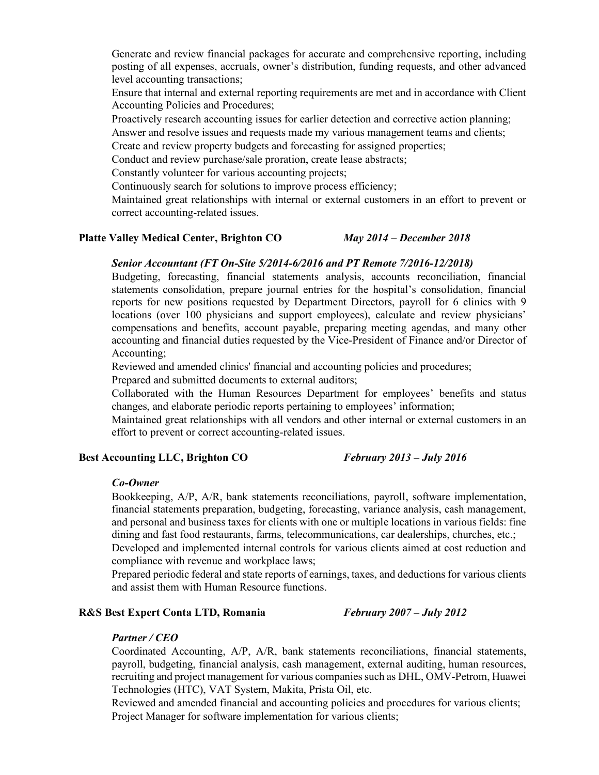Generate and review financial packages for accurate and comprehensive reporting, including posting of all expenses, accruals, owner's distribution, funding requests, and other advanced level accounting transactions;

 Ensure that internal and external reporting requirements are met and in accordance with Client Accounting Policies and Procedures;

 Proactively research accounting issues for earlier detection and corrective action planning; Answer and resolve issues and requests made my various management teams and clients;

Create and review property budgets and forecasting for assigned properties;

Conduct and review purchase/sale proration, create lease abstracts;

Constantly volunteer for various accounting projects;

Continuously search for solutions to improve process efficiency;

 Maintained great relationships with internal or external customers in an effort to prevent or correct accounting-related issues.

## **Platte Valley Medical Center, Brighton CO** *May 2014 – December 2018*

### *Senior Accountant (FT On-Site 5/2014-6/2016 and PT Remote 7/2016-12/2018)*

 Budgeting, forecasting, financial statements analysis, accounts reconciliation, financial statements consolidation, prepare journal entries for the hospital's consolidation, financial reports for new positions requested by Department Directors, payroll for 6 clinics with 9 locations (over 100 physicians and support employees), calculate and review physicians' compensations and benefits, account payable, preparing meeting agendas, and many other accounting and financial duties requested by the Vice-President of Finance and/or Director of Accounting;

Reviewed and amended clinics' financial and accounting policies and procedures;

Prepared and submitted documents to external auditors;

 Collaborated with the Human Resources Department for employees' benefits and status changes, and elaborate periodic reports pertaining to employees' information;

 Maintained great relationships with all vendors and other internal or external customers in an effort to prevent or correct accounting-related issues.

## **Best Accounting LLC, Brighton CO** *February 2013 – July 2016*

#### *Co-Owner*

 Bookkeeping, A/P, A/R, bank statements reconciliations, payroll, software implementation, financial statements preparation, budgeting, forecasting, variance analysis, cash management, and personal and business taxes for clients with one or multiple locations in various fields: fine dining and fast food restaurants, farms, telecommunications, car dealerships, churches, etc.;

 Developed and implemented internal controls for various clients aimed at cost reduction and compliance with revenue and workplace laws;

 Prepared periodic federal and state reports of earnings, taxes, and deductions for various clients and assist them with Human Resource functions.

### **R&S Best Expert Conta LTD, Romania** *February 2007 – July 2012*

#### *Partner / CEO*

 Coordinated Accounting, A/P, A/R, bank statements reconciliations, financial statements, payroll, budgeting, financial analysis, cash management, external auditing, human resources, recruiting and project management for various companies such as DHL, OMV-Petrom, Huawei Technologies (HTC), VAT System, Makita, Prista Oil, etc.

 Reviewed and amended financial and accounting policies and procedures for various clients; Project Manager for software implementation for various clients;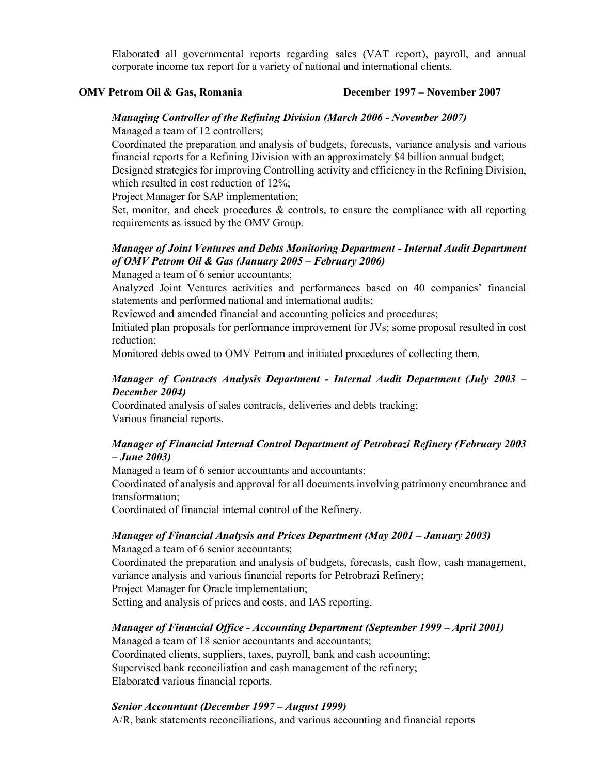Elaborated all governmental reports regarding sales (VAT report), payroll, and annual corporate income tax report for a variety of national and international clients.

#### **OMV Petrom Oil & Gas, Romania December 1997 – November 2007**

## *Managing Controller of the Refining Division (March 2006 - November 2007)*

Managed a team of 12 controllers;

 Coordinated the preparation and analysis of budgets, forecasts, variance analysis and various financial reports for a Refining Division with an approximately \$4 billion annual budget; Designed strategies for improving Controlling activity and efficiency in the Refining Division,

which resulted in cost reduction of 12%;

Project Manager for SAP implementation;

 Set, monitor, and check procedures & controls, to ensure the compliance with all reporting requirements as issued by the OMV Group.

## *Manager of Joint Ventures and Debts Monitoring Department - Internal Audit Department of OMV Petrom Oil & Gas (January 2005 – February 2006)*

Managed a team of 6 senior accountants;

 Analyzed Joint Ventures activities and performances based on 40 companies' financial statements and performed national and international audits;

Reviewed and amended financial and accounting policies and procedures;

 Initiated plan proposals for performance improvement for JVs; some proposal resulted in cost reduction;

Monitored debts owed to OMV Petrom and initiated procedures of collecting them.

## *Manager of Contracts Analysis Department - Internal Audit Department (July 2003 – December 2004)*

 Coordinated analysis of sales contracts, deliveries and debts tracking; Various financial reports.

## *Manager of Financial Internal Control Department of Petrobrazi Refinery (February 2003 – June 2003)*

Managed a team of 6 senior accountants and accountants;

 Coordinated of analysis and approval for all documents involving patrimony encumbrance and transformation;

Coordinated of financial internal control of the Refinery.

## *Manager of Financial Analysis and Prices Department (May 2001 – January 2003)*

Managed a team of 6 senior accountants;

 Coordinated the preparation and analysis of budgets, forecasts, cash flow, cash management, variance analysis and various financial reports for Petrobrazi Refinery;

Project Manager for Oracle implementation;

Setting and analysis of prices and costs, and IAS reporting.

## *Manager of Financial Office - Accounting Department (September 1999 – April 2001)*

 Managed a team of 18 senior accountants and accountants; Coordinated clients, suppliers, taxes, payroll, bank and cash accounting; Supervised bank reconciliation and cash management of the refinery; Elaborated various financial reports.

## *Senior Accountant (December 1997 – August 1999)*

A/R, bank statements reconciliations, and various accounting and financial reports